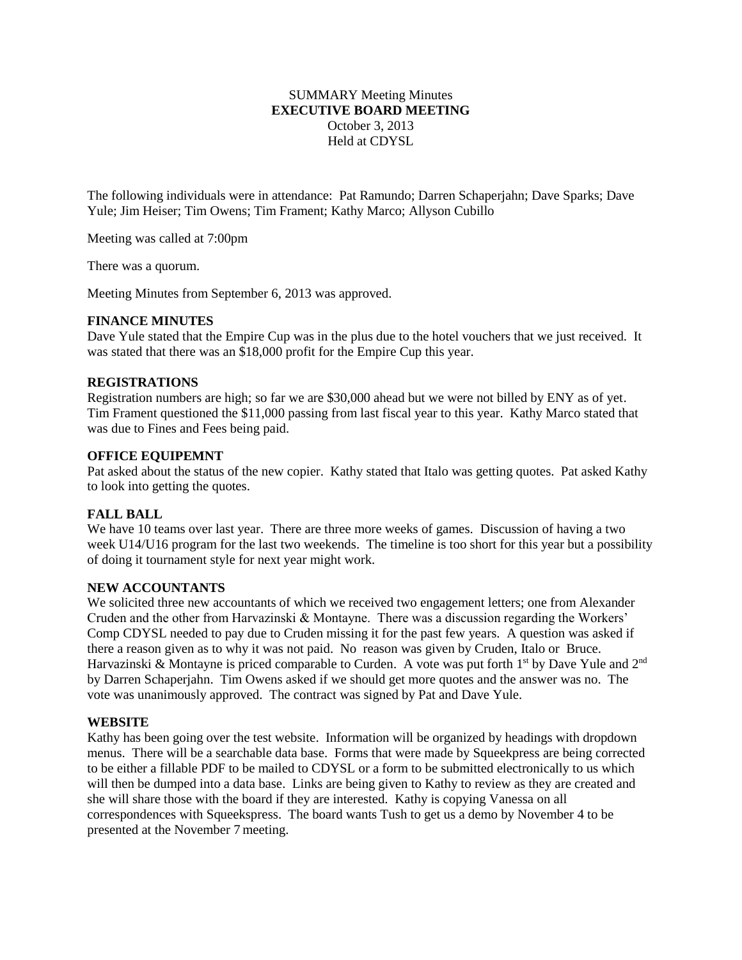# SUMMARY Meeting Minutes **EXECUTIVE BOARD MEETING** October 3, 2013 Held at CDYSL

The following individuals were in attendance: Pat Ramundo; Darren Schaperjahn; Dave Sparks; Dave Yule; Jim Heiser; Tim Owens; Tim Frament; Kathy Marco; Allyson Cubillo

Meeting was called at 7:00pm

There was a quorum.

Meeting Minutes from September 6, 2013 was approved.

### **FINANCE MINUTES**

Dave Yule stated that the Empire Cup was in the plus due to the hotel vouchers that we just received. It was stated that there was an \$18,000 profit for the Empire Cup this year.

# **REGISTRATIONS**

Registration numbers are high; so far we are \$30,000 ahead but we were not billed by ENY as of yet. Tim Frament questioned the \$11,000 passing from last fiscal year to this year. Kathy Marco stated that was due to Fines and Fees being paid.

### **OFFICE EQUIPEMNT**

Pat asked about the status of the new copier. Kathy stated that Italo was getting quotes. Pat asked Kathy to look into getting the quotes.

## **FALL BALL**

We have 10 teams over last year. There are three more weeks of games. Discussion of having a two week U14/U16 program for the last two weekends. The timeline is too short for this year but a possibility of doing it tournament style for next year might work.

### **NEW ACCOUNTANTS**

We solicited three new accountants of which we received two engagement letters; one from Alexander Cruden and the other from Harvazinski & Montayne. There was a discussion regarding the Workers' Comp CDYSL needed to pay due to Cruden missing it for the past few years. A question was asked if there a reason given as to why it was not paid. No reason was given by Cruden, Italo or Bruce. Harvazinski & Montayne is priced comparable to Curden. A vote was put forth 1<sup>st</sup> by Dave Yule and 2<sup>nd</sup> by Darren Schaperjahn. Tim Owens asked if we should get more quotes and the answer was no. The vote was unanimously approved. The contract was signed by Pat and Dave Yule.

## **WEBSITE**

Kathy has been going over the test website. Information will be organized by headings with dropdown menus. There will be a searchable data base. Forms that were made by Squeekpress are being corrected to be either a fillable PDF to be mailed to CDYSL or a form to be submitted electronically to us which will then be dumped into a data base. Links are being given to Kathy to review as they are created and she will share those with the board if they are interested. Kathy is copying Vanessa on all correspondences with Squeekspress. The board wants Tush to get us a demo by November 4 to be presented at the November 7 meeting.